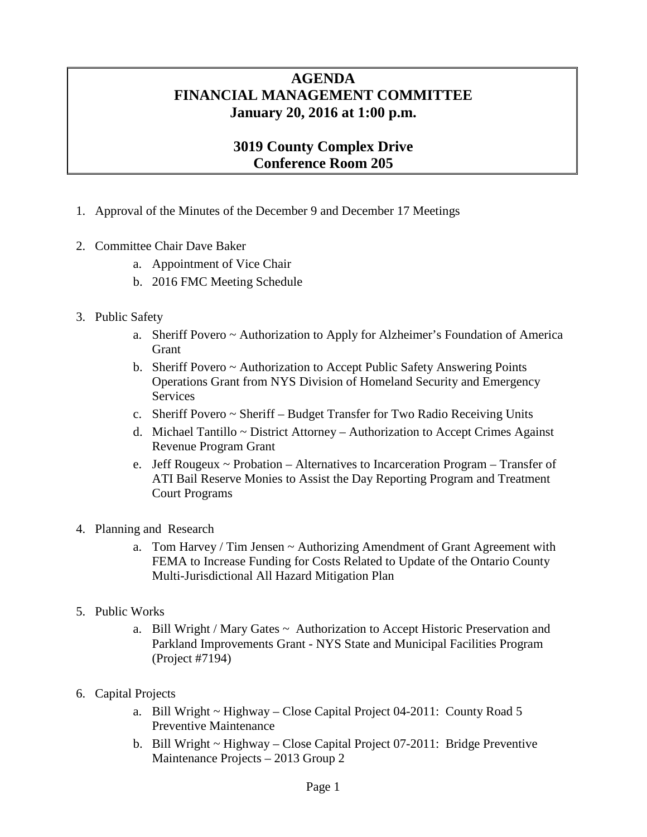## **AGENDA FINANCIAL MANAGEMENT COMMITTEE January 20, 2016 at 1:00 p.m.**

## **3019 County Complex Drive Conference Room 205**

- 1. Approval of the Minutes of the December 9 and December 17 Meetings
- 2. Committee Chair Dave Baker
	- a. Appointment of Vice Chair
	- b. 2016 FMC Meeting Schedule
- 3. Public Safety
	- a. Sheriff Povero ~ Authorization to Apply for Alzheimer's Foundation of America **Grant**
	- b. Sheriff Povero ~ Authorization to Accept Public Safety Answering Points Operations Grant from NYS Division of Homeland Security and Emergency Services
	- c. Sheriff Povero ~ Sheriff Budget Transfer for Two Radio Receiving Units
	- d. Michael Tantillo  $\sim$  District Attorney Authorization to Accept Crimes Against Revenue Program Grant
	- e. Jeff Rougeux  $\sim$  Probation Alternatives to Incarceration Program Transfer of ATI Bail Reserve Monies to Assist the Day Reporting Program and Treatment Court Programs
- 4. Planning and Research
	- a. Tom Harvey / Tim Jensen  $\sim$  Authorizing Amendment of Grant Agreement with FEMA to Increase Funding for Costs Related to Update of the Ontario County Multi-Jurisdictional All Hazard Mitigation Plan
- 5. Public Works
	- a. Bill Wright / Mary Gates  $\sim$  Authorization to Accept Historic Preservation and Parkland Improvements Grant - NYS State and Municipal Facilities Program (Project #7194)
- 6. Capital Projects
	- a. Bill Wright ~ Highway Close Capital Project 04-2011: County Road 5 Preventive Maintenance
	- b. Bill Wright ~ Highway Close Capital Project 07-2011: Bridge Preventive Maintenance Projects – 2013 Group 2